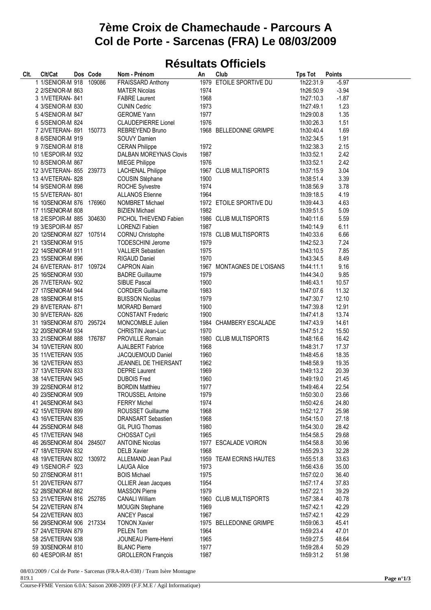## **7ème Croix de Chamechaude - Parcours A Col de Porte - Sarcenas (FRA) Le 08/03/2009**

## **Résultats Officiels**

| CIt. | Clt/Cat                   | Dos Code | Nom - Prénom                             | An   | Club                       | <b>Tps Tot</b>         | <b>Points</b> |
|------|---------------------------|----------|------------------------------------------|------|----------------------------|------------------------|---------------|
|      | 1 1/SENIOR-M 918 109086   |          | <b>FRAISSARD Anthony</b>                 |      | 1979 ETOILE SPORTIVE DU    | 1h22:31.9              | $-5.97$       |
|      | 2 2/SENIOR-M 863          |          | <b>MATER Nicolas</b>                     | 1974 |                            | 1h26:50.9              | $-3.94$       |
|      | 3 1/VETERAN- 841          |          | <b>FABRE Laurent</b>                     | 1968 |                            | 1h27:10.3              | $-1.87$       |
|      | 4 3/SENIOR-M 830          |          | <b>CUNIN Cedric</b>                      | 1973 |                            | 1h27:49.1              | 1.23          |
|      | 5 4/SENIOR-M 847          |          | <b>GEROME Yann</b>                       | 1977 |                            | 1h29:00.8              | 1.35          |
|      | 6 5/SENIOR-M 824          |          | <b>CLAUDEPIERRE Lionel</b>               | 1976 |                            | 1h30:26.3              | 1.51          |
|      | 7 2/ VETERAN-891 150773   |          | <b>REBREYEND Bruno</b>                   |      | 1968 BELLEDONNE GRIMPE     | 1h30:40.4              | 1.69          |
|      | 8 6/SENIOR-M 919          |          | SOUVY Damien                             |      |                            | 1h32:34.5              | 1.91          |
|      | 9 7/SENIOR-M 818          |          | <b>CERAN Philippe</b>                    | 1972 |                            | 1h32:38.3              | 2.15          |
|      | 10 1/ESPOIR-M 932         |          | <b>DALBAN MOREYNAS Clovis</b>            | 1987 |                            | 1h33:52.1              | 2.42          |
|      | 10 8/SENIOR-M 867         |          | <b>MIEGE Philippe</b>                    | 1976 |                            | 1h33:52.1              | 2.42          |
|      | 12 3/VETERAN- 855 239773  |          | <b>LACHENAL Philippe</b>                 |      | 1967 CLUB MULTISPORTS      | 1h37:15.9              | 3.04          |
|      | 13 4/VETERAN- 828         |          | COUSIN Stéphane                          | 1900 |                            | 1h38:51.4              | 3.39          |
|      | 14 9/SENIOR-M 898         |          | ROCHE Sylvestre                          | 1974 |                            | 1h38:56.9              | 3.78          |
|      | 15 5/VETERAN- 801         |          | <b>ALLANOS Etienne</b>                   | 1964 |                            | 1h39:18.5              | 4.19          |
|      | 16 10/SENIOR-M 876 176960 |          | NOMBRET Michael                          |      | 1972 ETOILE SPORTIVE DU    | 1h39:44.3              | 4.63          |
|      | 17 11/SENIOR-M 808        |          | <b>BIZIEN Michael</b>                    | 1982 |                            | 1h39:51.5              | 5.09          |
|      | 18 2/ESPOIR-M 885 304630  |          | PICHOL THIEVEND Fabien                   |      | 1986 CLUB MULTISPORTS      | 1h40:11.6              | 5.59          |
|      | 19 3/ESPOIR-M 857         |          | <b>LORENZI Fabien</b>                    | 1987 |                            | 1h40:14.9              | 6.11          |
|      | 20 12/SENIOR-M 827 107514 |          | <b>CORNU Christophe</b>                  |      | 1978 CLUB MULTISPORTS      | 1h40:33.6              | 6.66          |
|      | 21 13/SENIOR-M 915        |          | <b>TODESCHINI Jerome</b>                 | 1979 |                            | 1h42:52.3              | 7.24          |
|      | 22 14/SENIOR-M 911        |          | <b>VALLIER Sebastien</b>                 | 1975 |                            | 1h43:10.5              | 7.85          |
|      | 23 15/SENIOR-M 896        |          | <b>RIGAUD Daniel</b>                     | 1970 |                            | 1h43:34.5              | 8.49          |
|      | 24 6/VETERAN- 817 109724  |          | <b>CAPRON Alain</b>                      |      | 1967 MONTAGNES DE L'OISANS | 1h44:11.1              | 9.16          |
|      | 25 16/SENIOR-M 930        |          | <b>BADRE Guillaume</b>                   | 1979 |                            |                        | 9.85          |
|      | 26 7/VETERAN- 902         |          |                                          | 1900 |                            | 1h44:34.0              | 10.57         |
|      | 27 17/SENIOR-M 944        |          | SIBUE Pascal<br><b>CORDIER Guillaume</b> | 1983 |                            | 1h46:43.1<br>1h47:07.6 | 11.32         |
|      |                           |          |                                          |      |                            |                        |               |
|      | 28 18/SENIOR-M 815        |          | <b>BUISSON Nicolas</b>                   | 1979 |                            | 1h47:30.7              | 12.10         |
|      | 29 8/VETERAN- 871         |          | <b>MORARD Bernard</b>                    | 1900 |                            | 1h47:39.8              | 12.91         |
|      | 30 9/VETERAN- 826         |          | <b>CONSTANT Frederic</b>                 | 1900 |                            | 1h47:41.8              | 13.74         |
|      | 31 19/SENIOR-M 870 295724 |          | MONCOMBLE Julien                         |      | 1984 CHAMBERY ESCALADE     | 1h47:43.9              | 14.61         |
|      | 32 20/SENIOR-M 934        |          | CHRISTIN Jean-Luc                        | 1970 |                            | 1h47:51.2              | 15.50         |
|      | 33 21/SENIOR-M 888 176787 |          | PROVILLE Romain                          |      | 1980 CLUB MULTISPORTS      | 1h48:16.6              | 16.42         |
|      | 34 10/VETERAN 800         |          | <b>AJALBERT Fabrice</b>                  | 1968 |                            | 1h48:31.7              | 17.37         |
|      | 35 11/VETERAN 935         |          | JACQUEMOUD Daniel                        | 1960 |                            | 1h48:45.6              | 18.35         |
|      | 36 12/VETERAN 853         |          | JEANNEL DE THIERSANT                     | 1962 |                            | 1h48:58.9              | 19.35         |
|      | 37 13/VETERAN 833         |          | <b>DEPRE Laurent</b>                     | 1969 |                            | 1h49:13.2              | 20.39         |
|      | 38 14/VETERAN 945         |          | <b>DUBOIS Fred</b>                       | 1960 |                            | 1h49:19.0              | 21.45         |
|      | 39 22/SENIOR-M 812        |          | <b>BORDIN Matthieu</b>                   | 1977 |                            | 1h49:46.4              | 22.54         |
|      | 40 23/SENIOR-M 909        |          | <b>TROUSSEL Antoine</b>                  | 1979 |                            | 1h50:30.0              | 23.66         |
|      | 41 24/SENIOR-M 843        |          | <b>FERRY Michel</b>                      | 1974 |                            | 1h50:42.6              | 24.80         |
|      | 42 15/VETERAN 899         |          | <b>ROUSSET Guillaume</b>                 | 1968 |                            | 1h52:12.7              | 25.98         |
|      | 43 16/VETERAN 835         |          | <b>DRANSART Sebastien</b>                | 1968 |                            | 1h54:15.0              | 27.18         |
|      | 44 25/SENIOR-M 848        |          | GIL PUIG Thomas                          | 1980 |                            | 1h54:30.0              | 28.42         |
|      | 45 17/VETERAN 948         |          | CHOSSAT Cyril                            | 1965 |                            | 1h54:58.5              | 29.68         |
|      | 46 26/SENIOR-M 804 284507 |          | <b>ANTOINE Nicolas</b>                   |      | 1977 ESCALADE VOIRON       | 1h54:58.8              | 30.96         |
|      | 47 18/VETERAN 832         |          | <b>DELB Xavier</b>                       | 1968 |                            | 1h55:29.3              | 32.28         |
|      | 48 19/VETERAN 802 130972  |          | ALLEMAND Jean Paul                       |      | 1959 TEAM ECRINS HAUTES    | 1h55:51.8              | 33.63         |
|      | 49 1/SENIOR-F 923         |          | <b>LAUGA Alice</b>                       | 1973 |                            | 1h56:43.6              | 35.00         |
|      | 50 27/SENIOR-M 811        |          | <b>BOIS Michael</b>                      | 1975 |                            | 1h57:02.0              | 36.40         |
|      | 51 20/VETERAN 877         |          | OLLIER Jean Jacques                      | 1954 |                            | 1h57:17.4              | 37.83         |
|      | 52 28/SENIOR-M 862        |          | <b>MASSON Pierre</b>                     | 1979 |                            | 1h57:22.1              | 39.29         |
|      | 53 21/VETERAN 816 252785  |          | <b>CANALI William</b>                    |      | 1960 CLUB MULTISPORTS      | 1h57:38.4              | 40.78         |
|      | 54 22/VETERAN 874         |          | MOUGIN Stephane                          | 1969 |                            | 1h57:42.1              | 42.29         |
|      | 54 22/VETERAN 803         |          | <b>ANCEY Pascal</b>                      | 1967 |                            | 1h57:42.1              | 42.29         |
|      | 56 29/SENIOR-M 906 217334 |          | <b>TONON Xavier</b>                      |      | 1975 BELLEDONNE GRIMPE     | 1h59:06.3              | 45.41         |
|      | 57 24/VETERAN 879         |          | PELEN Tom                                | 1964 |                            | 1h59:23.4              | 47.01         |
|      | 58 25/VETERAN 938         |          | JOUNEAU Pierre-Henri                     | 1965 |                            | 1h59:27.5              | 48.64         |
|      | 59 30/SENIOR-M 810        |          | <b>BLANC Pierre</b>                      | 1977 |                            | 1h59:28.4              | 50.29         |
|      | 60 4/ESPOIR-M 851         |          | <b>GROLLERON François</b>                | 1987 |                            | 1h59:31.2              | 51.98         |

08/03/2009 / Col de Porte - Sarcenas (FRA-RA-038) / Team Isère Montagne 819.1

Course-FFME Version 6.0A: Saison 2008-2009 (F.F.M.E / Agil Informatique)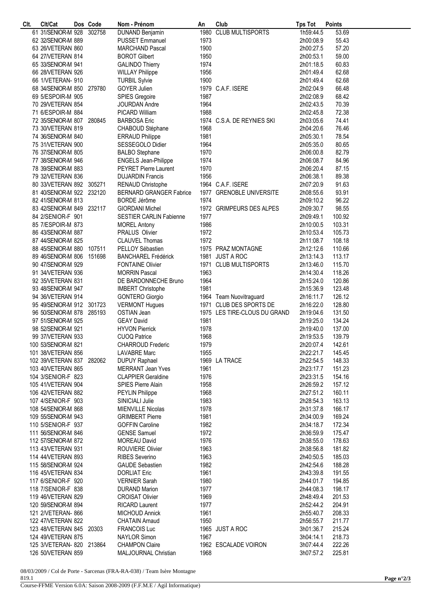| CIt. | Clt/Cat                   | Dos Code | Nom - Prénom                   | An   | Club                         | <b>Tps Tot</b> | <b>Points</b> |  |
|------|---------------------------|----------|--------------------------------|------|------------------------------|----------------|---------------|--|
|      | 61 31/SENIOR-M 928        | 302758   | <b>DUNAND Benjamin</b>         |      | 1980 CLUB MULTISPORTS        | 1h59:44.5      | 53.69         |  |
|      | 62 32/SENIOR-M 889        |          | <b>PUSSET Emmanuel</b>         | 1973 |                              | 2h00:08.9      | 55.43         |  |
|      | 63 26/VETERAN 860         |          | <b>MARCHAND Pascal</b>         | 1900 |                              | 2h00:27.5      | 57.20         |  |
|      | 64 27/VETERAN 814         |          | <b>BOROT Gilbert</b>           | 1950 |                              | 2h00:53.1      | 59.00         |  |
|      | 65 33/SENIOR-M 941        |          | <b>GALINDO Thierry</b>         | 1974 |                              | 2h01:18.5      | 60.83         |  |
|      |                           |          |                                | 1956 |                              |                | 62.68         |  |
|      | 66 28/VETERAN 926         |          | <b>WILLAY Philippe</b>         |      |                              | 2h01:49.4      |               |  |
|      | 66 1/VETERAN- 910         |          | <b>TURBIL Sylvie</b>           | 1900 |                              | 2h01:49.4      | 62.68         |  |
|      | 68 34/SENIOR-M 850 279780 |          | GOYER Julien                   |      | 1979 C.A.F. ISERE            | 2h02:04.9      | 66.48         |  |
|      | 69 5/ESPOIR-M 905         |          | SPIES Gregoire                 | 1987 |                              | 2h02:08.9      | 68.42         |  |
|      | 70 29/VETERAN 854         |          | JOURDAN Andre                  | 1964 |                              | 2h02:43.5      | 70.39         |  |
|      | 71 6/ESPOIR-M 884         |          | PICARD William                 | 1988 |                              | 2h02:45.8      | 72.38         |  |
|      | 72 35/SENIOR-M 807 280845 |          | <b>BARBOSA Eric</b>            |      | 1974 C.S.A. DE REYNIES SKI   | 2h03:05.6      | 74.41         |  |
|      | 73 30/VETERAN 819         |          | CHABOUD Stéphane               | 1968 |                              | 2h04:20.6      | 76.46         |  |
|      | 74 36/SENIOR-M 840        |          | <b>ERRAUD Philippe</b>         | 1981 |                              | 2h05:30.1      | 78.54         |  |
|      | 75 31/VETERAN 900         |          | SESSEGOLO Didier               | 1964 |                              | 2h05:35.0      | 80.65         |  |
|      |                           |          |                                | 1970 |                              |                | 82.79         |  |
|      | 76 37/SENIOR-M 805        |          | <b>BALBO</b> Stephane          |      |                              | 2h06:00.8      |               |  |
|      | 77 38/SENIOR-M 946        |          | ENGELS Jean-Philippe           | 1974 |                              | 2h06:08.7      | 84.96         |  |
|      | 78 39/SENIOR-M 883        |          | <b>PEYRET Pierre Laurent</b>   | 1970 |                              | 2h06:20.4      | 87.15         |  |
|      | 79 32/VETERAN 836         |          | <b>DUJARDIN Francis</b>        | 1956 |                              | 2h06:38.1      | 89.38         |  |
|      | 80 33/VETERAN 892 305271  |          | RENAUD Christophe              |      | 1964 C.A.F. ISERE            | 2h07:20.9      | 91.63         |  |
|      | 81 40/SENIOR-M 922 232120 |          | <b>BERNARD GRANGER Fabrice</b> |      | 1977 GRENOBLE UNIVERSITE     | 2h08:55.6      | 93.91         |  |
|      | 82 41/SENIOR-M 813        |          | BORDE Jérôme                   | 1974 |                              | 2h09:10.2      | 96.22         |  |
|      | 83 42/SENIOR-M 849 232117 |          | <b>GIORDANI Michel</b>         |      | 1972 GRIMPEURS DES ALPES     | 2h09:30.7      | 98.55         |  |
|      | 84 2/SENIOR-F 901         |          | <b>SESTIER CARLIN Fabienne</b> | 1977 |                              | 2h09:49.1      | 100.92        |  |
|      | 85 7/ESPOIR-M 873         |          | <b>MOREL Antony</b>            | 1986 |                              | 2h10:00.5      | 103.31        |  |
|      | 86 43/SENIOR-M 887        |          | <b>PRALUS Olivier</b>          | 1972 |                              | 2h10:53.4      | 105.73        |  |
|      |                           |          |                                |      |                              |                |               |  |
|      | 87 44/SENIOR-M 825        |          | <b>CLAUVEL Thomas</b>          | 1972 |                              | 2h11:08.7      | 108.18        |  |
|      | 88 45/SENIOR-M 880 107511 |          | PELLOY Sébastien               |      | 1975 PRAZ MONTAGNE           | 2h12:12.6      | 110.66        |  |
|      | 89 46/SENIOR-M 806 151698 |          | <b>BANCHAREL Frédérick</b>     |      | 1981 JUST A ROC              | 2h13:14.3      | 113.17        |  |
|      | 90 47/SENIOR-M 929        |          | <b>FONTAINE Olivier</b>        |      | 1971 CLUB MULTISPORTS        | 2h13:46.0      | 115.70        |  |
|      | 91 34/VETERAN 936         |          | <b>MORRIN Pascal</b>           | 1963 |                              | 2h14:30.4      | 118.26        |  |
|      | 92 35/VETERAN 831         |          | DE BARDONNECHE Bruno           | 1964 |                              | 2h15:24.0      | 120.86        |  |
|      | 93 48/SENIOR-M 947        |          | <b>IMBERT Christophe</b>       | 1981 |                              | 2h15:36.9      | 123.48        |  |
|      | 94 36/VETERAN 914         |          | <b>GONTERO Giorgio</b>         |      | 1964 Team Nuovitraguard      | 2h16:11.7      | 126.12        |  |
|      | 95 49/SENIOR-M 912 301723 |          | <b>VERMONT Hugues</b>          |      | 1971 CLUB DES SPORTS DE      | 2h16:22.0      | 128.80        |  |
|      | 96 50/SENIOR-M 878 285193 |          |                                |      |                              |                | 131.50        |  |
|      |                           |          | OSTIAN Jean                    |      | 1975 LES TIRE-CLOUS DU GRAND | 2h19:04.6      |               |  |
|      | 97 51/SENIOR-M 925        |          | <b>GEAY David</b>              | 1981 |                              | 2h19:25.0      | 134.24        |  |
|      | 98 52/SENIOR-M 921        |          | <b>HYVON Pierrick</b>          | 1978 |                              | 2h19:40.0      | 137.00        |  |
|      | 99 37/VETERAN 933         |          | <b>CUOQ Patrice</b>            | 1968 |                              | 2h19:53.5      | 139.79        |  |
|      | 100 53/SENIOR-M 821       |          | <b>CHARROUD Frederic</b>       | 1979 |                              | 2h20:07.4      | 142.61        |  |
|      | 101 38/VETERAN 856        |          | <b>LAVABRE Marc</b>            | 1955 |                              | 2h22:21.7      | 145.45        |  |
|      | 102 39/VETERAN 837 282062 |          | <b>DUPUY Raphael</b>           |      | 1969 LA TRACE                | 2h22:54.5      | 148.33        |  |
|      | 103 40/VETERAN 865        |          | <b>MERRANT Jean Yves</b>       | 1961 |                              | 2h23:17.7      | 151.23        |  |
|      | 104 3/SENIOR-F 823        |          | <b>CLAPPIER Geraldine</b>      | 1976 |                              | 2h23:31.5      | 154.16        |  |
|      | 105 41/VETERAN 904        |          | <b>SPIES Pierre Alain</b>      | 1958 |                              | 2h26:59.2      | 157.12        |  |
|      | 106 42/VETERAN 882        |          | <b>PEYLIN Philippe</b>         | 1968 |                              | 2h27:51.2      | 160.11        |  |
|      | 107 4/SENIOR-F 903        |          | SINICIALI Julie                | 1983 |                              | 2h28:54.3      | 163.13        |  |
|      |                           |          |                                |      |                              |                |               |  |
|      | 108 54/SENIOR-M 868       |          | <b>MIENVILLE Nicolas</b>       | 1978 |                              | 2h31:37.8      | 166.17        |  |
|      | 109 55/SENIOR-M 943       |          | <b>GRIMBERT Pierre</b>         | 1981 |                              | 2h34:00.9      | 169.24        |  |
|      | 110 5/SENIOR-F 937        |          | <b>GOFFIN Caroline</b>         | 1982 |                              | 2h34:18.7      | 172.34        |  |
|      | 111 56/SENIOR-M 846       |          | <b>GENSE Samuel</b>            | 1972 |                              | 2h36:59.9      | 175.47        |  |
|      | 112 57/SENIOR-M 872       |          | <b>MOREAU David</b>            | 1976 |                              | 2h38:55.0      | 178.63        |  |
|      | 113 43/VETERAN 931        |          | <b>ROUVIERE Olivier</b>        | 1963 |                              | 2h38:56.8      | 181.82        |  |
|      | 114 44/VETERAN 893        |          | <b>RIBES Severino</b>          | 1963 |                              | 2h40:50.5      | 185.03        |  |
|      | 115 58/SENIOR-M 924       |          | <b>GAUDE Sebastien</b>         | 1982 |                              | 2h42:54.6      | 188.28        |  |
|      | 116 45/VETERAN 834        |          | <b>DORLIAT Eric</b>            | 1961 |                              | 2h43:39.8      | 191.55        |  |
|      | 117 6/SENIOR-F 920        |          | <b>VERNIER Sarah</b>           | 1980 |                              | 2h44:01.7      | 194.85        |  |
|      |                           |          |                                |      |                              | 2h44:08.3      | 198.17        |  |
|      | 118 7/SENIOR-F 838        |          | <b>DURAND Marion</b>           | 1977 |                              |                |               |  |
|      | 119 46/VETERAN 829        |          | <b>CROISAT Olivier</b>         | 1969 |                              | 2h48:49.4      | 201.53        |  |
|      | 120 59/SENIOR-M 894       |          | <b>RICARD Laurent</b>          | 1977 |                              | 2h52:44.2      | 204.91        |  |
|      | 121 2/VETERAN- 866        |          | MICHOUD Annick                 | 1961 |                              | 2h55:40.7      | 208.33        |  |
|      | 122 47/VETERAN 822        |          | <b>CHATAIN Arnaud</b>          | 1950 |                              | 2h56:55.7      | 211.77        |  |
|      | 123 48/VETERAN 845 20303  |          | <b>FRANCOIS Luc</b>            |      | 1965 JUST A ROC              | 3h01:36.7      | 215.24        |  |
|      | 124 49/VETERAN 875        |          | <b>NAYLOR Simon</b>            | 1967 |                              | 3h04:14.1      | 218.73        |  |
|      | 125 3/VETERAN- 820 213864 |          | <b>CHAMPON Claire</b>          |      | 1962 ESCALADE VOIRON         | 3h07:44.4      | 222.26        |  |
|      | 126 50/VETERAN 859        |          | MALJOURNAL Christian           | 1968 |                              | 3h07:57.2      | 225.81        |  |
|      |                           |          |                                |      |                              |                |               |  |

08/03/2009 / Col de Porte - Sarcenas (FRA-RA-038) / Team Isère Montagne 819.1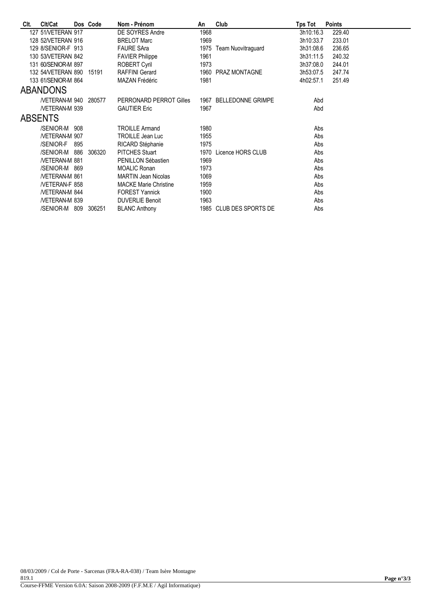| CIt. | Clt/Cat                  |     | Dos Code | Nom - Prénom                 | An   | Club                    | Tps Tot   | <b>Points</b> |
|------|--------------------------|-----|----------|------------------------------|------|-------------------------|-----------|---------------|
|      | 127 51/VETERAN 917       |     |          | DE SOYRES Andre              | 1968 |                         | 3h10:16.3 | 229.40        |
|      | 128 52/VETERAN 916       |     |          | <b>BRELOT Marc</b>           | 1969 |                         | 3h10:33.7 | 233.01        |
|      | 129 8/SENIOR-F 913       |     |          | <b>FAURE SAra</b>            | 1975 | Team Nuovitraguard      | 3h31:08.6 | 236.65        |
|      | 130 53/VETERAN 842       |     |          | <b>FAVIER Philippe</b>       | 1961 |                         | 3h31:11.5 | 240.32        |
|      | 131 60/SENIOR-M 897      |     |          | <b>ROBERT Cyril</b>          | 1973 |                         | 3h37:08.0 | 244.01        |
|      | 132 54/VETERAN 890 15191 |     |          | <b>RAFFINI Gerard</b>        |      | 1960 PRAZ MONTAGNE      | 3h53:07.5 | 247.74        |
|      | 133 61/SENIOR-M 864      |     |          | MAZAN Frédéric               | 1981 |                         | 4h02:57.1 | 251.49        |
|      | <b>ABANDONS</b>          |     |          |                              |      |                         |           |               |
|      | NETERAN-M 940 280577     |     |          | PERRONARD PERROT Gilles      |      | 1967 BELLEDONNE GRIMPE  | Abd       |               |
|      | <b>NETERAN-M 939</b>     |     |          | <b>GAUTIER Eric</b>          | 1967 |                         | Abd       |               |
|      | <b>ABSENTS</b>           |     |          |                              |      |                         |           |               |
|      | /SENIOR-M 908            |     |          | <b>TROILLE Armand</b>        | 1980 |                         | Abs       |               |
|      | <b>NETERAN-M 907</b>     |     |          | <b>TROILLE Jean Luc</b>      | 1955 |                         | Abs       |               |
|      | /SENIOR-F                | 895 |          | RICARD Stéphanie             | 1975 |                         | Abs       |               |
|      | /SENIOR-M 886 306320     |     |          | <b>PITCHES Stuart</b>        |      | 1970 Licence HORS CLUB  | Abs       |               |
|      | <b>NETERAN-M 881</b>     |     |          | PENILLON Sébastien           | 1969 |                         | Abs       |               |
|      | /SENIOR-M 869            |     |          | <b>MOALIC Ronan</b>          | 1973 |                         | Abs       |               |
|      | <b>NETERAN-M 861</b>     |     |          | <b>MARTIN Jean Nicolas</b>   | 1069 |                         | Abs       |               |
|      | NETERAN-F 858            |     |          | <b>MACKE Marie Christine</b> | 1959 |                         | Abs       |               |
|      | <b>NETERAN-M 844</b>     |     |          | <b>FOREST Yannick</b>        | 1900 |                         | Abs       |               |
|      | <b>NETERAN-M 839</b>     |     |          | <b>DUVERLIE Benoit</b>       | 1963 |                         | Abs       |               |
|      | /SENIOR-M 809 306251     |     |          | <b>BLANC Anthony</b>         |      | 1985 CLUB DES SPORTS DE | Abs       |               |